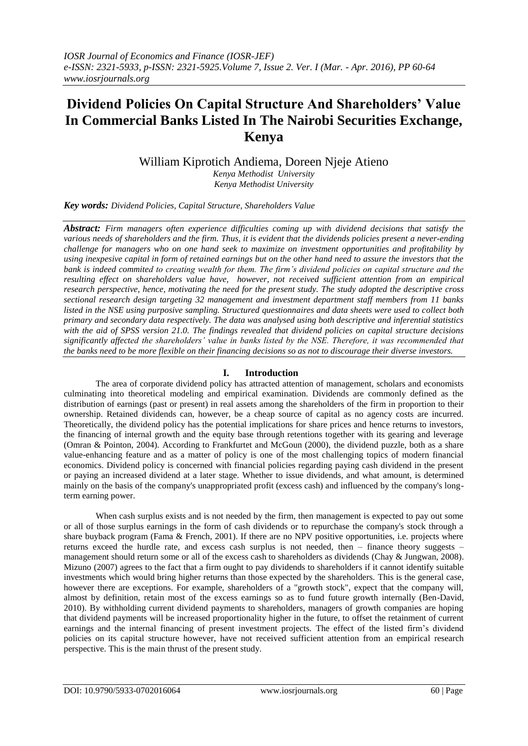# **Dividend Policies On Capital Structure And Shareholders' Value In Commercial Banks Listed In The Nairobi Securities Exchange, Kenya**

William Kiprotich Andiema, Doreen Njeje Atieno

*Kenya Methodist University Kenya Methodist University* 

*Key words: Dividend Policies, Capital Structure, Shareholders Value*

*Abstract: Firm managers often experience difficulties coming up with dividend decisions that satisfy the various needs of shareholders and the firm. Thus, it is evident that the dividends policies present a never-ending challenge for managers who on one hand seek to maximize on investment opportunities and profitability by using inexpesive capital in form of retained earnings but on the other hand need to assure the investors that the bank is indeed commited to creating wealth for them. The firm's dividend policies on capital structure and the resulting effect on shareholders value have, however, not received sufficient attention from an empirical research perspective, hence, motivating the need for the present study. The study adopted the descriptive cross sectional research design targeting 32 management and investment department staff members from 11 banks listed in the NSE using purposive sampling. Structured questionnaires and data sheets were used to collect both primary and secondary data respectively. The data was analysed using both descriptive and inferential statistics with the aid of SPSS version 21.0. The findings revealed that dividend policies on capital structure decisions significantly affected the shareholders' value in banks listed by the NSE. Therefore, it was recommended that the banks need to be more flexible on their financing decisions so as not to discourage their diverse investors.*

## **I. Introduction**

The area of corporate dividend policy has attracted attention of management, scholars and economists culminating into theoretical modeling and empirical examination. Dividends are commonly defined as the distribution of earnings (past or present) in real assets among the shareholders of the firm in proportion to their ownership. Retained dividends can, however, be a cheap source of capital as no agency costs are incurred. Theoretically, the dividend policy has the potential implications for share prices and hence returns to investors, the financing of internal growth and the equity base through retentions together with its gearing and leverage (Omran & Pointon, 2004). According to Frankfurtet and McGoun (2000), the dividend puzzle, both as a share value-enhancing feature and as a matter of policy is one of the most challenging topics of modern financial economics. Dividend policy is concerned with financial policies regarding paying cash dividend in the present or paying an increased dividend at a later stage. Whether to issue dividends, and what amount, is determined mainly on the basis of the company's unappropriated profit (excess cash) and influenced by the company's longterm earning power.

When cash surplus exists and is not needed by the firm, then management is expected to pay out some or all of those surplus earnings in the form of cash dividends or to repurchase the company's stock through a share buyback program (Fama & French, 2001). If there are no NPV positive opportunities, i.e. projects where returns exceed the hurdle rate, and excess cash surplus is not needed, then – finance theory suggests – management should return some or all of the excess cash to shareholders as dividends (Chay & Jungwan, 2008). Mizuno (2007) agrees to the fact that a firm ought to pay dividends to shareholders if it cannot identify suitable investments which would bring higher returns than those expected by the shareholders. This is the general case, however there are exceptions. For example, shareholders of a "growth stock", expect that the company will, almost by definition, retain most of the excess earnings so as to fund future growth internally (Ben-David, 2010). By withholding current dividend payments to shareholders, managers of growth companies are hoping that dividend payments will be increased proportionality higher in the future, to offset the retainment of current earnings and the internal financing of present investment projects. The effect of the listed firm's dividend policies on its capital structure however, have not received sufficient attention from an empirical research perspective. This is the main thrust of the present study.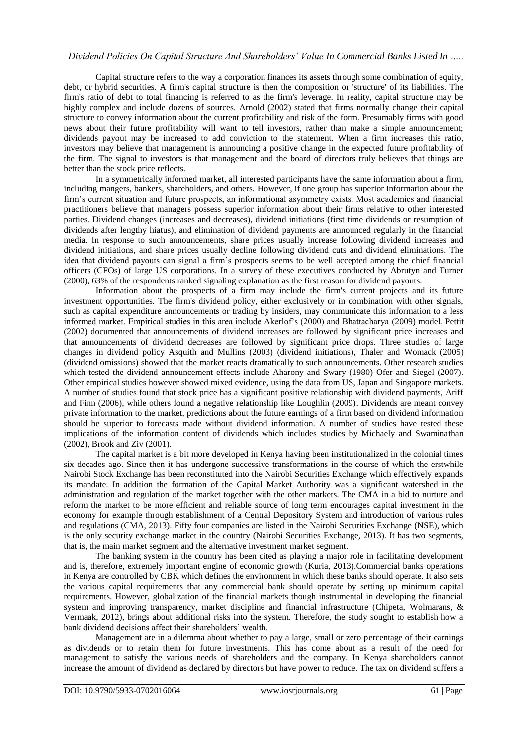Capital structure refers to the way a corporation finances its assets through some combination of equity, debt, or hybrid securities. A firm's capital structure is then the composition or 'structure' of its liabilities. The firm's ratio of debt to total financing is referred to as the firm's leverage. In reality, capital structure may be highly complex and include dozens of sources. Arnold (2002) stated that firms normally change their capital structure to convey information about the current profitability and risk of the form. Presumably firms with good news about their future profitability will want to tell investors, rather than make a simple announcement; dividends payout may be increased to add conviction to the statement. When a firm increases this ratio, investors may believe that management is announcing a positive change in the expected future profitability of the firm. The signal to investors is that management and the board of directors truly believes that things are better than the stock price reflects.

In a symmetrically informed market, all interested participants have the same information about a firm, including mangers, bankers, shareholders, and others. However, if one group has superior information about the firm's current situation and future prospects, an informational asymmetry exists. Most academics and financial practitioners believe that managers possess superior information about their firms relative to other interested parties. Dividend changes (increases and decreases), dividend initiations (first time dividends or resumption of dividends after lengthy hiatus), and elimination of dividend payments are announced regularly in the financial media. In response to such announcements, share prices usually increase following dividend increases and dividend initiations, and share prices usually decline following dividend cuts and dividend eliminations. The idea that dividend payouts can signal a firm's prospects seems to be well accepted among the chief financial officers (CFOs) of large US corporations. In a survey of these executives conducted by Abrutyn and Turner (2000), 63% of the respondents ranked signaling explanation as the first reason for dividend payouts.

Information about the prospects of a firm may include the firm's current projects and its future investment opportunities. The firm's dividend policy, either exclusively or in combination with other signals, such as capital expenditure announcements or trading by insiders, may communicate this information to a less informed market. Empirical studies in this area include Akerlof's (2000) and Bhattacharya (2009) model. Pettit (2002) documented that announcements of dividend increases are followed by significant price increases and that announcements of dividend decreases are followed by significant price drops. Three studies of large changes in dividend policy Asquith and Mullins (2003) (dividend initiations), Thaler and Womack (2005) (dividend omissions) showed that the market reacts dramatically to such announcements. Other research studies which tested the dividend announcement effects include Aharony and Swary (1980) Ofer and Siegel (2007). Other empirical studies however showed mixed evidence, using the data from US, Japan and Singapore markets. A number of studies found that stock price has a significant positive relationship with dividend payments, Ariff and Finn (2006), while others found a negative relationship like Loughlin (2009). Dividends are meant convey private information to the market, predictions about the future earnings of a firm based on dividend information should be superior to forecasts made without dividend information. A number of studies have tested these implications of the information content of dividends which includes studies by Michaely and Swaminathan (2002), Brook and Ziv (2001).

The capital market is a bit more developed in Kenya having been institutionalized in the colonial times six decades ago. Since then it has undergone successive transformations in the course of which the erstwhile Nairobi Stock Exchange has been reconstituted into the Nairobi Securities Exchange which effectively expands its mandate. In addition the formation of the Capital Market Authority was a significant watershed in the administration and regulation of the market together with the other markets. The CMA in a bid to nurture and reform the market to be more efficient and reliable source of long term encourages capital investment in the economy for example through establishment of a Central Depository System and introduction of various rules and regulations (CMA, 2013). Fifty four companies are listed in the Nairobi Securities Exchange (NSE), which is the only security exchange market in the country (Nairobi Securities Exchange, 2013). It has two segments, that is, the main market segment and the alternative investment market segment.

The banking system in the country has been cited as playing a major role in facilitating development and is, therefore, extremely important engine of economic growth (Kuria, 2013).Commercial banks operations in Kenya are controlled by CBK which defines the environment in which these banks should operate. It also sets the various capital requirements that any commercial bank should operate by setting up minimum capital requirements. However, globalization of the financial markets though instrumental in developing the financial system and improving transparency, market discipline and financial infrastructure (Chipeta, Wolmarans, & Vermaak, 2012), brings about additional risks into the system. Therefore, the study sought to establish how a bank dividend decisions affect their shareholders' wealth.

Management are in a dilemma about whether to pay a large, small or zero percentage of their earnings as dividends or to retain them for future investments. This has come about as a result of the need for management to satisfy the various needs of shareholders and the company. In Kenya shareholders cannot increase the amount of dividend as declared by directors but have power to reduce. The tax on dividend suffers a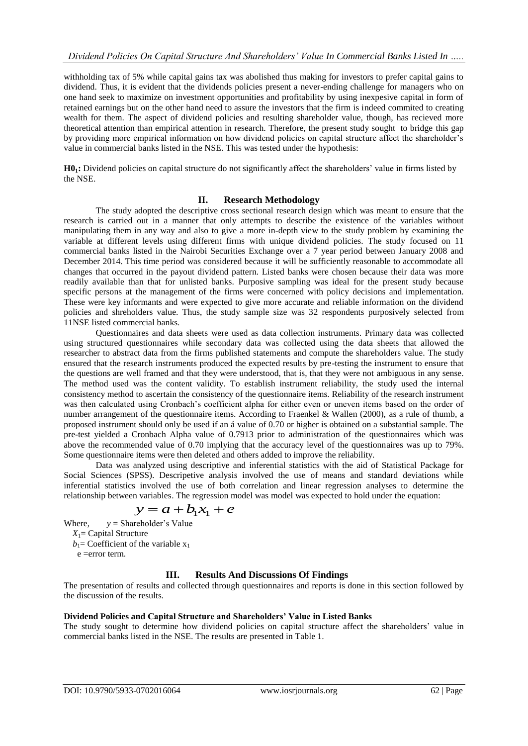withholding tax of 5% while capital gains tax was abolished thus making for investors to prefer capital gains to dividend. Thus, it is evident that the dividends policies present a never-ending challenge for managers who on one hand seek to maximize on investment opportunities and profitability by using inexpesive capital in form of retained earnings but on the other hand need to assure the investors that the firm is indeed commited to creating wealth for them. The aspect of dividend policies and resulting shareholder value, though, has recieved more theoretical attention than empirical attention in research. Therefore, the present study sought to bridge this gap by providing more empirical information on how dividend policies on capital structure affect the shareholder's value in commercial banks listed in the NSE. This was tested under the hypothesis:

**H01:** Dividend policies on capital structure do not significantly affect the shareholders' value in firms listed by the NSE.

### **II. Research Methodology**

The study adopted the descriptive cross sectional research design which was meant to ensure that the research is carried out in a manner that only attempts to describe the existence of the variables without manipulating them in any way and also to give a more in-depth view to the study problem by examining the variable at different levels using different firms with unique dividend policies. The study focused on 11 commercial banks listed in the Nairobi Securities Exchange over a 7 year period between January 2008 and December 2014. This time period was considered because it will be sufficiently reasonable to accommodate all changes that occurred in the payout dividend pattern. Listed banks were chosen because their data was more readily available than that for unlisted banks. Purposive sampling was ideal for the present study because specific persons at the management of the firms were concerned with policy decisions and implementation. These were key informants and were expected to give more accurate and reliable information on the dividend policies and shreholders value. Thus, the study sample size was 32 respondents purposively selected from 11NSE listed commercial banks.

Questionnaires and data sheets were used as data collection instruments. Primary data was collected using structured questionnaires while secondary data was collected using the data sheets that allowed the researcher to abstract data from the firms published statements and compute the shareholders value. The study ensured that the research instruments produced the expected results by pre-testing the instrument to ensure that the questions are well framed and that they were understood, that is, that they were not ambiguous in any sense. The method used was the content validity. To establish instrument reliability, the study used the internal consistency method to ascertain the consistency of the questionnaire items. Reliability of the research instrument was then calculated using Cronbach's coefficient alpha for either even or uneven items based on the order of number arrangement of the questionnaire items. According to Fraenkel & Wallen (2000), as a rule of thumb, a proposed instrument should only be used if an á value of 0.70 or higher is obtained on a substantial sample. The pre-test yielded a Cronbach Alpha value of 0.7913 prior to administration of the questionnaires which was above the recommended value of 0.70 implying that the accuracy level of the questionnaires was up to 79%. Some questionnaire items were then deleted and others added to improve the reliability.

Data was analyzed using descriptive and inferential statistics with the aid of Statistical Package for Social Sciences (SPSS). Descripetive analysis involved the use of means and standard deviations while inferential statistics involved the use of both correlation and linear regression analyses to determine the relationship between variables. The regression model was model was expected to hold under the equation:

$$
y = a + b_1 x_1 + e
$$

Where,  $y =$  Shareholder's Value *X*1= Capital Structure

 $b_1$ = Coefficient of the variable  $x_1$ 

e =error term.

# **III. Results And Discussions Of Findings**

The presentation of results and collected through questionnaires and reports is done in this section followed by the discussion of the results.

# **Dividend Policies and Capital Structure and Shareholders' Value in Listed Banks**

The study sought to determine how dividend policies on capital structure affect the shareholders' value in commercial banks listed in the NSE. The results are presented in Table 1.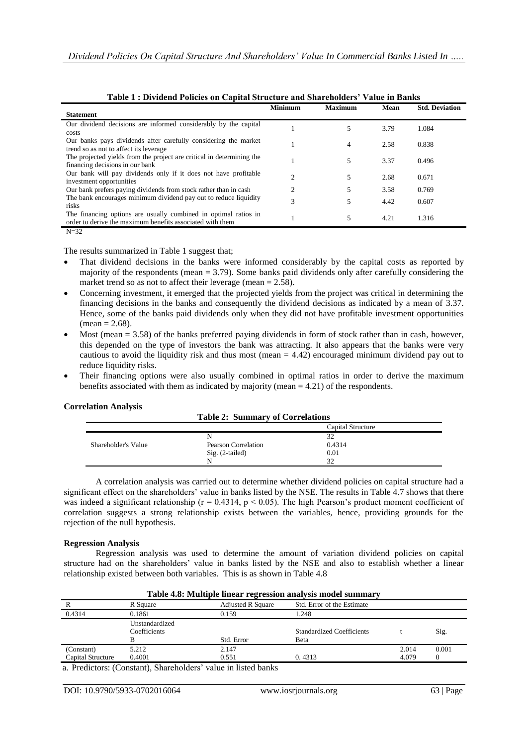| <b>Statement</b>                                                      | <b>Minimum</b> | <b>Maximum</b> | Mean | <b>Std. Deviation</b> |
|-----------------------------------------------------------------------|----------------|----------------|------|-----------------------|
|                                                                       |                |                |      |                       |
| Our dividend decisions are informed considerably by the capital       |                | 5              | 3.79 | 1.084                 |
| costs                                                                 |                |                |      |                       |
| Our banks pays dividends after carefully considering the market       |                | 4              | 2.58 | 0.838                 |
| trend so as not to affect its leverage                                |                |                |      |                       |
| The projected yields from the project are critical in determining the |                | 5              | 3.37 | 0.496                 |
| financing decisions in our bank                                       |                |                |      |                       |
| Our bank will pay dividends only if it does not have profitable       |                |                |      |                       |
| investment opportunities                                              | $\overline{c}$ | 5              | 2.68 | 0.671                 |
| Our bank prefers paying dividends from stock rather than in cash      | $\overline{c}$ | 5              | 3.58 | 0.769                 |
| The bank encourages minimum dividend pay out to reduce liquidity      |                |                |      |                       |
| risks                                                                 | 3              | 5              | 4.42 | 0.607                 |
| The financing options are usually combined in optimal ratios in       |                |                |      |                       |
| order to derive the maximum benefits associated with them             |                | 5              | 4.21 | 1.316                 |
|                                                                       |                |                |      |                       |
| $N=32$                                                                |                |                |      |                       |

| Table 1: Dividend Policies on Capital Structure and Shareholders' Value in Banks |  |
|----------------------------------------------------------------------------------|--|
|----------------------------------------------------------------------------------|--|

The results summarized in Table 1 suggest that;

- That dividend decisions in the banks were informed considerably by the capital costs as reported by majority of the respondents (mean = 3.79). Some banks paid dividends only after carefully considering the market trend so as not to affect their leverage (mean  $= 2.58$ ).
- Concerning investment, it emerged that the projected yields from the project was critical in determining the financing decisions in the banks and consequently the dividend decisions as indicated by a mean of 3.37. Hence, some of the banks paid dividends only when they did not have profitable investment opportunities  $mean = 2.68$ ).
- Most (mean  $= 3.58$ ) of the banks preferred paying dividends in form of stock rather than in cash, however, this depended on the type of investors the bank was attracting. It also appears that the banks were very cautious to avoid the liquidity risk and thus most (mean  $= 4.42$ ) encouraged minimum dividend pay out to reduce liquidity risks.
- Their financing options were also usually combined in optimal ratios in order to derive the maximum benefits associated with them as indicated by majority (mean  $=$  4.21) of the respondents.

#### **Correlation Analysis**

|  | <b>Table 2: Summary of Correlations</b> |
|--|-----------------------------------------|
|  |                                         |

|                     |                     | Capital Structure |  |
|---------------------|---------------------|-------------------|--|
|                     | N                   | $\mathfrak{D}$    |  |
| Shareholder's Value | Pearson Correlation | 0.4314            |  |
|                     | $Sig. (2-tailed)$   | 0.01              |  |
|                     | N                   | つ                 |  |

A correlation analysis was carried out to determine whether dividend policies on capital structure had a significant effect on the shareholders' value in banks listed by the NSE. The results in Table 4.7 shows that there was indeed a significant relationship ( $r = 0.4314$ ,  $p < 0.05$ ). The high Pearson's product moment coefficient of correlation suggests a strong relationship exists between the variables, hence, providing grounds for the rejection of the null hypothesis.

#### **Regression Analysis**

Regression analysis was used to determine the amount of variation dividend policies on capital structure had on the shareholders' value in banks listed by the NSE and also to establish whether a linear relationship existed between both variables. This is as shown in Table 4.8

| Table 4.8: Multiple linear regression analysis model summary |                                |                          |                                          |                |                   |
|--------------------------------------------------------------|--------------------------------|--------------------------|------------------------------------------|----------------|-------------------|
|                                                              | R Square                       | <b>Adjusted R Square</b> | Std. Error of the Estimate               |                |                   |
| 0.4314                                                       | 0.1861                         | 0.159                    | 1.248                                    |                |                   |
|                                                              | Unstandardized<br>Coefficients | Std. Error               | <b>Standardized Coefficients</b><br>Beta |                | Sig.              |
| (Constant)<br>Capital Structure                              | 5.212<br>0.4001                | 2.147<br>0.551           | 0.4313                                   | 2.014<br>4.079 | 0.001<br>$\Omega$ |

a. Predictors: (Constant), Shareholders' value in listed banks